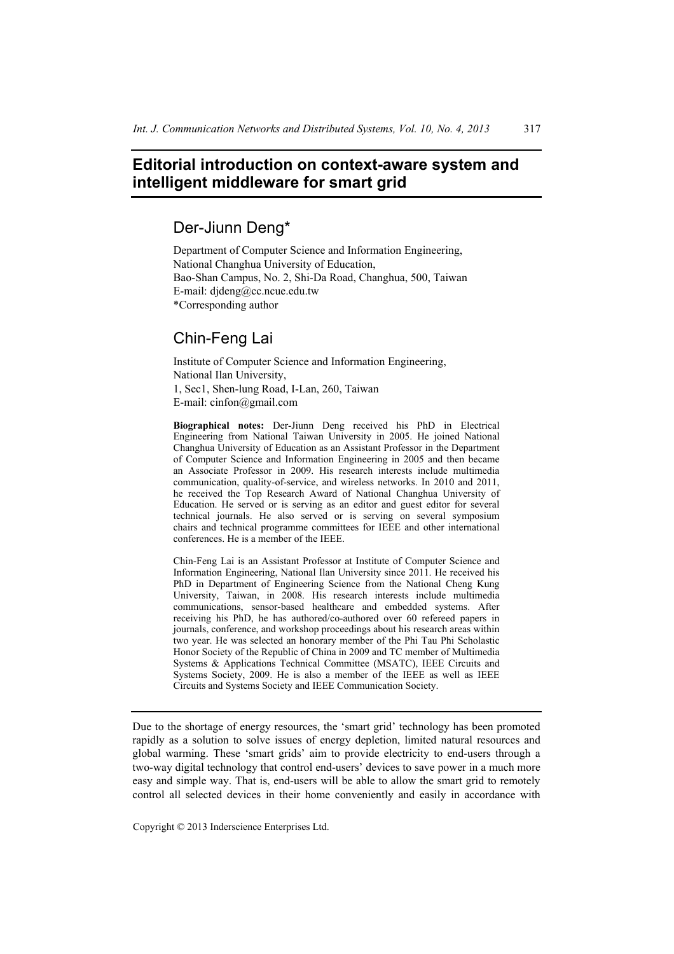## **Editorial introduction on context-aware system and intelligent middleware for smart grid**

## Der-Jiunn Deng\*

Department of Computer Science and Information Engineering, National Changhua University of Education, Bao-Shan Campus, No. 2, Shi-Da Road, Changhua, 500, Taiwan E-mail: djdeng@cc.ncue.edu.tw \*Corresponding author

## Chin-Feng Lai

Institute of Computer Science and Information Engineering, National Ilan University, 1, Sec1, Shen-lung Road, I-Lan, 260, Taiwan E-mail: cinfon@gmail.com

**Biographical notes:** Der-Jiunn Deng received his PhD in Electrical Engineering from National Taiwan University in 2005. He joined National Changhua University of Education as an Assistant Professor in the Department of Computer Science and Information Engineering in 2005 and then became an Associate Professor in 2009. His research interests include multimedia communication, quality-of-service, and wireless networks. In 2010 and 2011, he received the Top Research Award of National Changhua University of Education. He served or is serving as an editor and guest editor for several technical journals. He also served or is serving on several symposium chairs and technical programme committees for IEEE and other international conferences. He is a member of the IEEE.

Chin-Feng Lai is an Assistant Professor at Institute of Computer Science and Information Engineering, National Ilan University since 2011. He received his PhD in Department of Engineering Science from the National Cheng Kung University, Taiwan, in 2008. His research interests include multimedia communications, sensor-based healthcare and embedded systems. After receiving his PhD, he has authored/co-authored over 60 refereed papers in journals, conference, and workshop proceedings about his research areas within two year. He was selected an honorary member of the Phi Tau Phi Scholastic Honor Society of the Republic of China in 2009 and TC member of Multimedia Systems & Applications Technical Committee (MSATC), IEEE Circuits and Systems Society, 2009. He is also a member of the IEEE as well as IEEE Circuits and Systems Society and IEEE Communication Society.

Due to the shortage of energy resources, the 'smart grid' technology has been promoted rapidly as a solution to solve issues of energy depletion, limited natural resources and global warming. These 'smart grids' aim to provide electricity to end-users through a two-way digital technology that control end-users' devices to save power in a much more easy and simple way. That is, end-users will be able to allow the smart grid to remotely control all selected devices in their home conveniently and easily in accordance with

Copyright © 2013 Inderscience Enterprises Ltd.